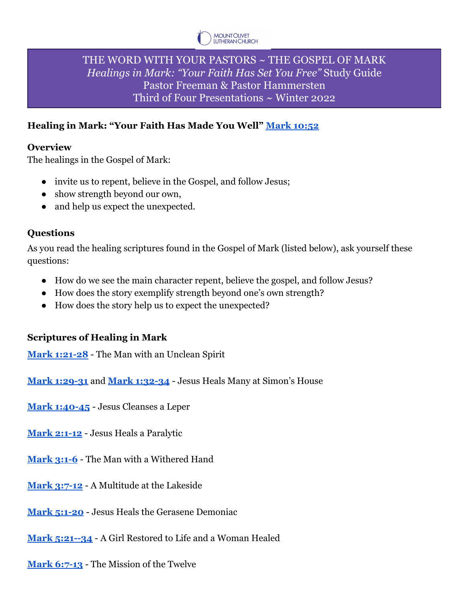

# THE WORD WITH YOUR PASTORS ~ THE GOSPEL OF MARK *Healings in Mark: "Your Faith Has Set You Free"* Study Guide Pastor Freeman & Pastor Hammersten Third of Four Presentations ~ Winter 2022

## **Healing in Mark: "Your Faith Has Made You Well" Mark [10:52](https://bible.oremus.org/?ql=511262583)**

#### **Overview**

The healings in the Gospel of Mark:

- invite us to repent, believe in the Gospel, and follow Jesus;
- show strength beyond our own,
- and help us expect the unexpected.

## **Questions**

As you read the healing scriptures found in the Gospel of Mark (listed below), ask yourself these questions:

- How do we see the main character repent, believe the gospel, and follow Jesus?
- How does the story exemplify strength beyond one's own strength?
- How does the story help us to expect the unexpected?

## **Scriptures of Healing in Mark**

**[Mark 1:21-28](https://bible.oremus.org/?ql=511262641)** - The Man with an Unclean Spirit

**[Mark 1:29-31](https://bible.oremus.org/?ql=511262706)** and **[Mark 1:32-34](https://bible.oremus.org/?ql=511263010)** - Jesus Heals Many at Simon's House

**[Mark 1:40-45](https://bible.oremus.org/?ql=511263075)** - Jesus Cleanses a Leper

**[Mark 2:1-12](https://bible.oremus.org/?ql=511263120)** - Jesus Heals a Paralytic

**[Mark 3:1-6](https://bible.oremus.org/?ql=511263165)** - The Man with a Withered Hand

**[Mark 3:7-12](https://bible.oremus.org/?ql=511263211)** - A Multitude at the Lakeside

**[Mark 5:1-20](https://bible.oremus.org/?ql=511263259)** - Jesus Heals the Gerasene Demoniac

**[Mark 5:21--34](https://bible.oremus.org/?ql=511263928)** - A Girl Restored to Life and a Woman Healed

**[Mark 6:7-13](https://bible.oremus.org/?ql=511263484)** - The Mission of the Twelve